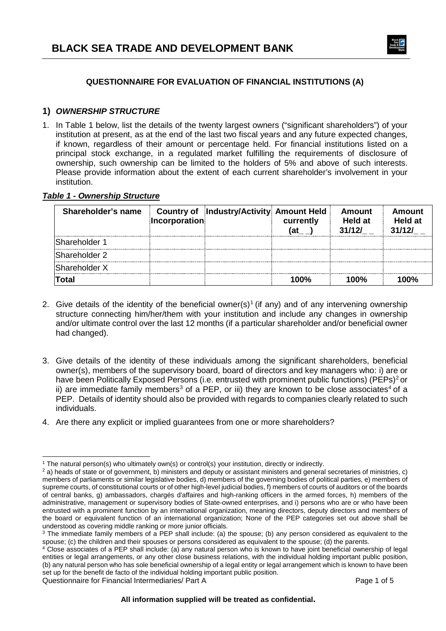

### **QUESTIONNAIRE FOR EVALUATION OF FINANCIAL INSTITUTIONS (A)**

### **1)** *OWNERSHIP STRUCTURE*

1. In Table 1 below, list the details of the twenty largest owners ("significant shareholders") of your institution at present, as at the end of the last two fiscal years and any future expected changes, if known, regardless of their amount or percentage held. For financial institutions listed on a principal stock exchange, in a regulated market fulfilling the requirements of disclosure of ownership, such ownership can be limited to the holders of 5% and above of such interests. Please provide information about the extent of each current shareholder's involvement in your institution.

#### *Table 1 - Ownership Structure*

| Shareholder's name   | Incorporation | <b>Country of Industry/Activity Amount Held</b> | currently | <b>Amount</b><br>Held at<br>31/12/ | Amount<br><b>Held at</b><br>31/12/ |
|----------------------|---------------|-------------------------------------------------|-----------|------------------------------------|------------------------------------|
| <b>Shareholder 1</b> |               |                                                 |           |                                    |                                    |
| Shareholder 2        |               |                                                 |           |                                    |                                    |
| Shareholder X        |               |                                                 |           |                                    |                                    |
| ⊺otal                |               |                                                 | 100%      | 100%                               | מסחו.                              |

- 2. Give details of the identity of the beneficial owner(s)<sup>[1](#page-0-0)</sup> (if any) and of any intervening ownership structure connecting him/her/them with your institution and include any changes in ownership and/or ultimate control over the last 12 months (if a particular shareholder and/or beneficial owner had changed).
- 3. Give details of the identity of these individuals among the significant shareholders, beneficial owner(s), members of the supervisory board, board of directors and key managers who: i) are or have been Politically Exposed Persons (i.e. entrusted with prominent public functions) (PEPs)<sup>[2](#page-0-1)</sup> or ii) are immediate family members<sup>[3](#page-0-2)</sup> of a PEP, or iii) they are known to be close associates<sup>[4](#page-0-3)</sup> of a PEP. Details of identity should also be provided with regards to companies clearly related to such individuals.
- 4. Are there any explicit or implied guarantees from one or more shareholders?

<sup>-</sup><sup>1</sup> The natural person(s) who ultimately own(s) or control(s) your institution, directly or indirectly.

<span id="page-0-1"></span><span id="page-0-0"></span> $<sup>2</sup>$  a) heads of state or of government, b) ministers and deputy or assistant ministers and general secretaries of ministries, c)</sup> members of parliaments or similar legislative bodies, d) members of the governing bodies of political parties, e) members of supreme courts, of constitutional courts or of other high-level judicial bodies, f) members of courts of auditors or of the boards of central banks, g) ambassadors, chargés d'affaires and high-ranking officers in the armed forces, h) members of the administrative, management or supervisory bodies of State-owned enterprises, and i) persons who are or who have been entrusted with a prominent function by an international organization, meaning directors, deputy directors and members of the board or equivalent function of an international organization; None of the PEP categories set out above shall be understood as covering middle ranking or more junior officials.

<span id="page-0-2"></span><sup>&</sup>lt;sup>3</sup> The immediate family members of a PEP shall include: (a) the spouse; (b) any person considered as equivalent to the spouse; (c) the children and their spouses or persons considered as equivalent to the spouse; (d) the parents.

<span id="page-0-3"></span><sup>4</sup> Close associates of a PEP shall include: (a) any natural person who is known to have joint beneficial ownership of legal entities or legal arrangements, or any other close business relations, with the individual holding important public position, (b) any natural person who has sole beneficial ownership of a legal entity or legal arrangement which is known to have been set up for the benefit de facto of the individual holding important public position.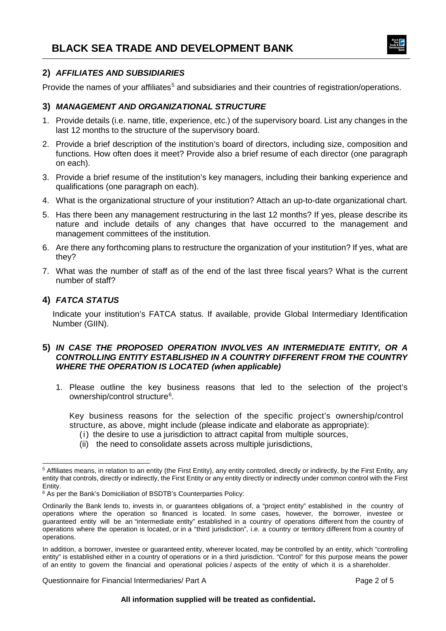

#### **2)** *AFFILIATES AND SUBSIDIARIES*

Provide the names of your affiliates<sup>[5](#page-1-0)</sup> and subsidiaries and their countries of registration/operations.

#### **3)** *MANAGEMENT AND ORGANIZATIONAL STRUCTURE*

- 1. Provide details (i.e. name, title, experience, etc.) of the supervisory board. List any changes in the last 12 months to the structure of the supervisory board.
- 2. Provide a brief description of the institution's board of directors, including size, composition and functions. How often does it meet? Provide also a brief resume of each director (one paragraph on each).
- 3. Provide a brief resume of the institution's key managers, including their banking experience and qualifications (one paragraph on each).
- 4. What is the organizational structure of your institution? Attach an up-to-date organizational chart.
- 5. Has there been any management restructuring in the last 12 months? If yes, please describe its nature and include details of any changes that have occurred to the management and management committees of the institution.
- 6. Are there any forthcoming plans to restructure the organization of your institution? If yes, what are they?
- 7. What was the number of staff as of the end of the last three fiscal years? What is the current number of staff?

#### **4)** *FATCA STATUS*

Indicate your institution's FATCA status. If available, provide Global Intermediary Identification Number (GIIN).

#### **5)** *IN CASE THE PROPOSED OPERATION INVOLVES AN INTERMEDIATE ENTITY, OR A CONTROLLING ENTITY ESTABLISHED IN A COUNTRY DIFFERENT FROM THE COUNTRY WHERE THE OPERATION IS LOCATED (when applicable)*

1. Please outline the key business reasons that led to the selection of the project's ownership/control structure<sup>[6](#page-1-1)</sup>.

Key business reasons for the selection of the specific project's ownership/control structure, as above, might include (please indicate and elaborate as appropriate):

- (i) the desire to use a jurisdiction to attract capital from multiple sources,
- (ii) the need to consolidate assets across multiple jurisdictions,

Questionnaire for Financial Intermediaries/ Part A **Page 2 of 5** and 2 of 5

<span id="page-1-0"></span><sup>-</sup><sup>5</sup> Affiliates means, in relation to an entity (the First Entity), any entity controlled, directly or indirectly, by the First Entity, any entity that controls, directly or indirectly, the First Entity or any entity directly or indirectly under common control with the First Entity.

<span id="page-1-1"></span><sup>6</sup> As per the Bank's Domiciliation of BSDTB's Counterparties Policy:

Ordinarily the Bank lends to, invests in, or guarantees obligations of, a "project entity" established in the country of operations where the operation so financed is located. In some cases, however, the borrower, investee or guaranteed entity will be an "intermediate entity" established in a country of operations different from the country of operations where the operation is located, or in a "third jurisdiction", i.e. a country or territory different from a country of operations.

In addition, a borrower, investee or guaranteed entity, wherever located, may be controlled by an entity, which "controlling entity" is established either in a country of operations or in a third jurisdiction. "Control" for this purpose means the power of an entity to govern the financial and operational policies / aspects of the entity of which it is a shareholder.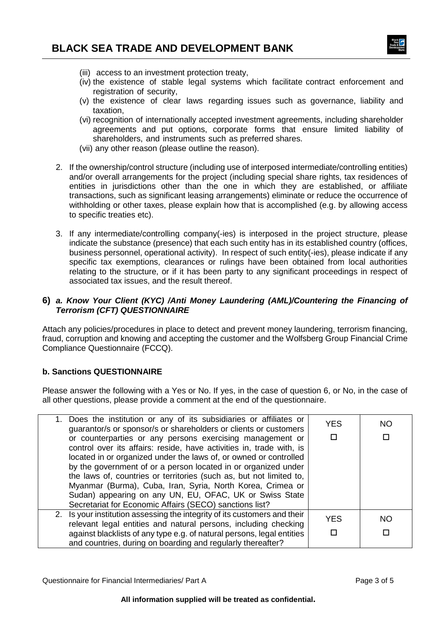

- (iii) access to an investment protection treaty,
- (iv) the existence of stable legal systems which facilitate contract enforcement and registration of security,
- (v) the existence of clear laws regarding issues such as governance, liability and taxation,
- (vi) recognition of internationally accepted investment agreements, including shareholder agreements and put options, corporate forms that ensure limited liability of shareholders, and instruments such as preferred shares.
- (vii) any other reason (please outline the reason).
- 2. If the ownership/control structure (including use of interposed intermediate/controlling entities) and/or overall arrangements for the project (including special share rights, tax residences of entities in jurisdictions other than the one in which they are established, or affiliate transactions, such as significant leasing arrangements) eliminate or reduce the occurrence of withholding or other taxes, please explain how that is accomplished (e.g. by allowing access to specific treaties etc).
- 3. If any intermediate/controlling company(-ies) is interposed in the project structure, please indicate the substance (presence) that each such entity has in its established country (offices, business personnel, operational activity). In respect of such entity(-ies), please indicate if any specific tax exemptions, clearances or rulings have been obtained from local authorities relating to the structure, or if it has been party to any significant proceedings in respect of associated tax issues, and the result thereof.

#### **6)** *a. Know Your Client (KYC) /Anti Money Laundering (AML)/Countering the Financing of Terrorism (CFT) QUESTIONNAIRE*

Attach any policies/procedures in place to detect and prevent money laundering, terrorism financing, fraud, corruption and knowing and accepting the customer and the Wolfsberg Group Financial Crime Compliance Questionnaire (FCCQ).

#### **b. Sanctions QUESTIONNAIRE**

Please answer the following with a Yes or No. If yes, in the case of question 6, or No, in the case of all other questions, please provide a comment at the end of the questionnaire.

| 1. Does the institution or any of its subsidiaries or affiliates or<br>guarantor/s or sponsor/s or shareholders or clients or customers<br>or counterparties or any persons exercising management or<br>control over its affairs: reside, have activities in, trade with, is<br>located in or organized under the laws of, or owned or controlled<br>by the government of or a person located in or organized under<br>the laws of, countries or territories (such as, but not limited to,<br>Myanmar (Burma), Cuba, Iran, Syria, North Korea, Crimea or<br>Sudan) appearing on any UN, EU, OFAC, UK or Swiss State<br>Secretariat for Economic Affairs (SECO) sanctions list? | <b>YES</b> | NO        |
|--------------------------------------------------------------------------------------------------------------------------------------------------------------------------------------------------------------------------------------------------------------------------------------------------------------------------------------------------------------------------------------------------------------------------------------------------------------------------------------------------------------------------------------------------------------------------------------------------------------------------------------------------------------------------------|------------|-----------|
| 2. Is your institution assessing the integrity of its customers and their<br>relevant legal entities and natural persons, including checking                                                                                                                                                                                                                                                                                                                                                                                                                                                                                                                                   | <b>YES</b> | <b>NO</b> |
| against blacklists of any type e.g. of natural persons, legal entities<br>and countries, during on boarding and regularly thereafter?                                                                                                                                                                                                                                                                                                                                                                                                                                                                                                                                          |            |           |

Questionnaire for Financial Intermediaries/ Part A **Page 3 of 5** and 2 of 5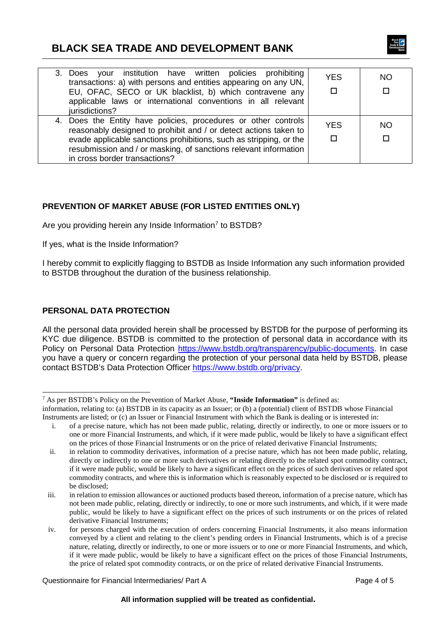## **BLACK SEA TRADE AND DEVELOPMENT BANK**



| 3. Does your institution have written policies prohibiting<br>transactions: a) with persons and entities appearing on any UN,<br>EU, OFAC, SECO or UK blacklist, b) which contravene any<br>applicable laws or international conventions in all relevant<br>jurisdictions?                                    | <b>YES</b> | NO. |
|---------------------------------------------------------------------------------------------------------------------------------------------------------------------------------------------------------------------------------------------------------------------------------------------------------------|------------|-----|
| 4. Does the Entity have policies, procedures or other controls<br>reasonably designed to prohibit and / or detect actions taken to<br>evade applicable sanctions prohibitions, such as stripping, or the<br>resubmission and / or masking, of sanctions relevant information<br>in cross border transactions? | <b>YES</b> | NΟ  |

## **PREVENTION OF MARKET ABUSE (FOR LISTED ENTITIES ONLY)**

Are you providing herein any Inside Information<sup>[7](#page-3-0)</sup> to BSTDB?

If yes, what is the Inside Information?

I hereby commit to explicitly flagging to BSTDB as Inside Information any such information provided to BSTDB throughout the duration of the business relationship.

#### **PERSONAL DATA PROTECTION**

All the personal data provided herein shall be processed by BSTDB for the purpose of performing its KYC due diligence. BSTDB is committed to the protection of personal data in accordance with its Policy on Personal Data Protection [https://www.bstdb.org/transparency/public-documents.](https://www.bstdb.org/transparency/public-documents) In case you have a query or concern regarding the protection of your personal data held by BSTDB, please contact BSTDB's Data Protection Officer [https://www.bstdb.org/privacy.](https://www.bstdb.org/privacy)

Questionnaire for Financial Intermediaries/ Part A **Page 4 of 5** and 2008 and 2008 and 2008 and 2008 and 2008 and 2008 and 2008 and 2008 and 2008 and 2008 and 2008 and 2008 and 2008 and 2008 and 2008 and 2008 and 2008 and

<span id="page-3-0"></span> <sup>7</sup> As per BSTDB's Policy on the Prevention of Market Abuse, **"Inside Information"** is defined as: information, relating to: (a) BSTDB in its capacity as an Issuer; or (b) a (potential) client of BSTDB whose Financial Instruments are listed; or (c) an Issuer or Financial Instrument with which the Bank is dealing or is interested in:

i. of a precise nature, which has not been made public, relating, directly or indirectly, to one or more issuers or to one or more Financial Instruments, and which, if it were made public, would be likely to have a significant effect on the prices of those Financial Instruments or on the price of related derivative Financial Instruments;

ii. in relation to commodity derivatives, information of a precise nature, which has not been made public, relating, directly or indirectly to one or more such derivatives or relating directly to the related spot commodity contract, if it were made public, would be likely to have a significant effect on the prices of such derivatives or related spot commodity contracts, and where this is information which is reasonably expected to be disclosed or is required to be disclosed;

iii. in relation to emission allowances or auctioned products based thereon, information of a precise nature, which has not been made public, relating, directly or indirectly, to one or more such instruments, and which, if it were made public, would be likely to have a significant effect on the prices of such instruments or on the prices of related derivative Financial Instruments;

iv. for persons charged with the execution of orders concerning Financial Instruments, it also means information conveyed by a client and relating to the client's pending orders in Financial Instruments, which is of a precise nature, relating, directly or indirectly, to one or more issuers or to one or more Financial Instruments, and which, if it were made public, would be likely to have a significant effect on the prices of those Financial Instruments, the price of related spot commodity contracts, or on the price of related derivative Financial Instruments.